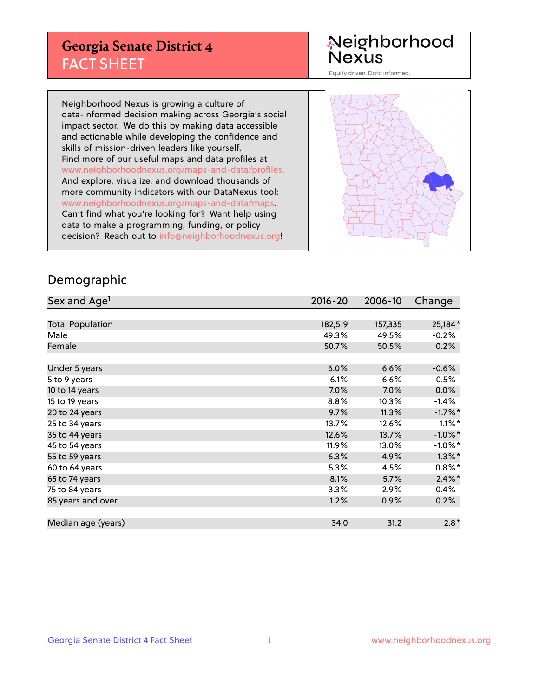## **Georgia Senate District 4** FACT SHEET

# Neighborhood<br>Nexus

Equity driven. Data informed.

Neighborhood Nexus is growing a culture of data-informed decision making across Georgia's social impact sector. We do this by making data accessible and actionable while developing the confidence and skills of mission-driven leaders like yourself. Find more of our useful maps and data profiles at www.neighborhoodnexus.org/maps-and-data/profiles. And explore, visualize, and download thousands of more community indicators with our DataNexus tool: www.neighborhoodnexus.org/maps-and-data/maps. Can't find what you're looking for? Want help using data to make a programming, funding, or policy decision? Reach out to [info@neighborhoodnexus.org!](mailto:info@neighborhoodnexus.org)



#### Demographic

| Sex and Age <sup>1</sup> | $2016 - 20$ | 2006-10 | Change     |
|--------------------------|-------------|---------|------------|
|                          |             |         |            |
| <b>Total Population</b>  | 182,519     | 157,335 | 25,184*    |
| Male                     | 49.3%       | 49.5%   | $-0.2%$    |
| Female                   | 50.7%       | 50.5%   | 0.2%       |
|                          |             |         |            |
| Under 5 years            | 6.0%        | 6.6%    | $-0.6%$    |
| 5 to 9 years             | 6.1%        | 6.6%    | $-0.5\%$   |
| 10 to 14 years           | 7.0%        | $7.0\%$ | 0.0%       |
| 15 to 19 years           | 8.8%        | 10.3%   | $-1.4%$    |
| 20 to 24 years           | 9.7%        | 11.3%   | $-1.7%$ *  |
| 25 to 34 years           | 13.7%       | 12.6%   | $1.1\%$ *  |
| 35 to 44 years           | 12.6%       | 13.7%   | $-1.0\%$ * |
| 45 to 54 years           | 11.9%       | 13.0%   | $-1.0\%$ * |
| 55 to 59 years           | 6.3%        | 4.9%    | $1.3\%$ *  |
| 60 to 64 years           | 5.3%        | 4.5%    | $0.8\%$ *  |
| 65 to 74 years           | 8.1%        | 5.7%    | $2.4\%$ *  |
| 75 to 84 years           | 3.3%        | 2.9%    | 0.4%       |
| 85 years and over        | 1.2%        | 0.9%    | 0.2%       |
|                          |             |         |            |
| Median age (years)       | 34.0        | 31.2    | $2.8*$     |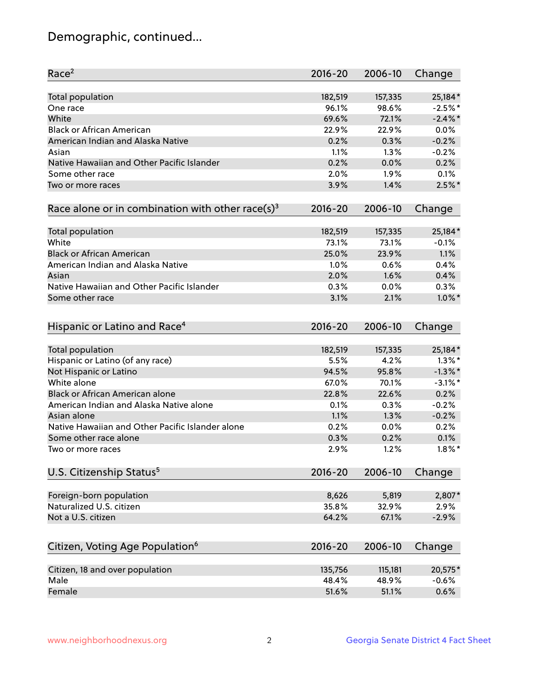## Demographic, continued...

| Race <sup>2</sup>                                            | $2016 - 20$ | 2006-10 | Change     |
|--------------------------------------------------------------|-------------|---------|------------|
| <b>Total population</b>                                      | 182,519     | 157,335 | 25,184*    |
| One race                                                     | 96.1%       | 98.6%   | $-2.5%$ *  |
| White                                                        | 69.6%       | 72.1%   | $-2.4\%$ * |
| <b>Black or African American</b>                             | 22.9%       | 22.9%   | 0.0%       |
| American Indian and Alaska Native                            | 0.2%        | 0.3%    | $-0.2%$    |
| Asian                                                        | 1.1%        | 1.3%    | $-0.2%$    |
| Native Hawaiian and Other Pacific Islander                   | 0.2%        | 0.0%    | 0.2%       |
| Some other race                                              | 2.0%        | 1.9%    | 0.1%       |
| Two or more races                                            | 3.9%        | 1.4%    | $2.5%$ *   |
| Race alone or in combination with other race(s) <sup>3</sup> | $2016 - 20$ | 2006-10 | Change     |
| Total population                                             | 182,519     | 157,335 | 25,184*    |
| White                                                        | 73.1%       | 73.1%   | $-0.1%$    |
| <b>Black or African American</b>                             | 25.0%       | 23.9%   | 1.1%       |
| American Indian and Alaska Native                            | 1.0%        | 0.6%    | 0.4%       |
| Asian                                                        | 2.0%        | 1.6%    | 0.4%       |
| Native Hawaiian and Other Pacific Islander                   | 0.3%        | 0.0%    | 0.3%       |
| Some other race                                              | 3.1%        | 2.1%    | $1.0\%$ *  |
|                                                              |             |         |            |
| Hispanic or Latino and Race <sup>4</sup>                     | $2016 - 20$ | 2006-10 | Change     |
| Total population                                             | 182,519     | 157,335 | 25,184*    |
| Hispanic or Latino (of any race)                             | 5.5%        | 4.2%    | $1.3\%$ *  |
| Not Hispanic or Latino                                       | 94.5%       | 95.8%   | $-1.3\%$ * |
| White alone                                                  | 67.0%       | 70.1%   | $-3.1\%$ * |
| Black or African American alone                              | 22.8%       | 22.6%   | 0.2%       |
| American Indian and Alaska Native alone                      | 0.1%        | 0.3%    | $-0.2%$    |
| Asian alone                                                  | 1.1%        | 1.3%    | $-0.2%$    |
| Native Hawaiian and Other Pacific Islander alone             | 0.2%        | 0.0%    | 0.2%       |
| Some other race alone                                        | 0.3%        | 0.2%    | 0.1%       |
| Two or more races                                            | 2.9%        | 1.2%    | $1.8\%$ *  |
| U.S. Citizenship Status <sup>5</sup>                         | $2016 - 20$ | 2006-10 | Change     |
|                                                              |             |         |            |
| Foreign-born population                                      | 8,626       | 5,819   | 2,807*     |
| Naturalized U.S. citizen                                     | 35.8%       | 32.9%   | 2.9%       |
| Not a U.S. citizen                                           | 64.2%       | 67.1%   | $-2.9%$    |
|                                                              |             |         |            |
| Citizen, Voting Age Population <sup>6</sup>                  | 2016-20     | 2006-10 | Change     |
| Citizen, 18 and over population                              | 135,756     | 115,181 | 20,575*    |
| Male                                                         | 48.4%       | 48.9%   | $-0.6%$    |
| Female                                                       | 51.6%       | 51.1%   | 0.6%       |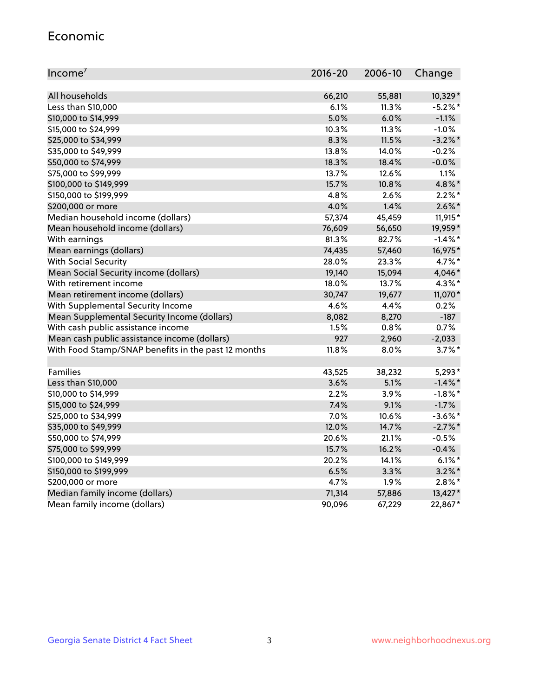#### Economic

| Income <sup>7</sup>                                 | $2016 - 20$ | 2006-10 | Change     |
|-----------------------------------------------------|-------------|---------|------------|
|                                                     |             |         |            |
| All households                                      | 66,210      | 55,881  | 10,329*    |
| Less than \$10,000                                  | 6.1%        | 11.3%   | $-5.2%$ *  |
| \$10,000 to \$14,999                                | 5.0%        | 6.0%    | $-1.1%$    |
| \$15,000 to \$24,999                                | 10.3%       | 11.3%   | $-1.0%$    |
| \$25,000 to \$34,999                                | 8.3%        | 11.5%   | $-3.2%$ *  |
| \$35,000 to \$49,999                                | 13.8%       | 14.0%   | $-0.2%$    |
| \$50,000 to \$74,999                                | 18.3%       | 18.4%   | $-0.0%$    |
| \$75,000 to \$99,999                                | 13.7%       | 12.6%   | 1.1%       |
| \$100,000 to \$149,999                              | 15.7%       | 10.8%   | 4.8%*      |
| \$150,000 to \$199,999                              | 4.8%        | 2.6%    | $2.2\%$ *  |
| \$200,000 or more                                   | 4.0%        | 1.4%    | $2.6\%$ *  |
| Median household income (dollars)                   | 57,374      | 45,459  | 11,915*    |
| Mean household income (dollars)                     | 76,609      | 56,650  | 19,959*    |
| With earnings                                       | 81.3%       | 82.7%   | $-1.4\%$ * |
| Mean earnings (dollars)                             | 74,435      | 57,460  | 16,975*    |
| <b>With Social Security</b>                         | 28.0%       | 23.3%   | 4.7%*      |
| Mean Social Security income (dollars)               | 19,140      | 15,094  | 4,046*     |
| With retirement income                              | 18.0%       | 13.7%   | 4.3%*      |
| Mean retirement income (dollars)                    | 30,747      | 19,677  | 11,070*    |
| With Supplemental Security Income                   | 4.6%        | 4.4%    | 0.2%       |
| Mean Supplemental Security Income (dollars)         | 8,082       | 8,270   | $-187$     |
| With cash public assistance income                  | 1.5%        | 0.8%    | 0.7%       |
| Mean cash public assistance income (dollars)        | 927         | 2,960   | $-2,033$   |
| With Food Stamp/SNAP benefits in the past 12 months | 11.8%       | 8.0%    | $3.7\%$ *  |
|                                                     |             |         |            |
| Families                                            | 43,525      | 38,232  | $5,293*$   |
| Less than \$10,000                                  | 3.6%        | 5.1%    | $-1.4\%$ * |
| \$10,000 to \$14,999                                | 2.2%        | 3.9%    | $-1.8\%$ * |
| \$15,000 to \$24,999                                | 7.4%        | 9.1%    | $-1.7%$    |
| \$25,000 to \$34,999                                | 7.0%        | 10.6%   | $-3.6\%$ * |
| \$35,000 to \$49,999                                | 12.0%       | 14.7%   | $-2.7\%$ * |
| \$50,000 to \$74,999                                | 20.6%       | 21.1%   | $-0.5%$    |
| \$75,000 to \$99,999                                | 15.7%       | 16.2%   | $-0.4%$    |
| \$100,000 to \$149,999                              | 20.2%       | 14.1%   | $6.1\%$ *  |
| \$150,000 to \$199,999                              | 6.5%        | 3.3%    | $3.2\%$ *  |
| \$200,000 or more                                   | 4.7%        | 1.9%    | $2.8\%$ *  |
| Median family income (dollars)                      | 71,314      | 57,886  | 13,427*    |
| Mean family income (dollars)                        | 90,096      | 67,229  | 22,867*    |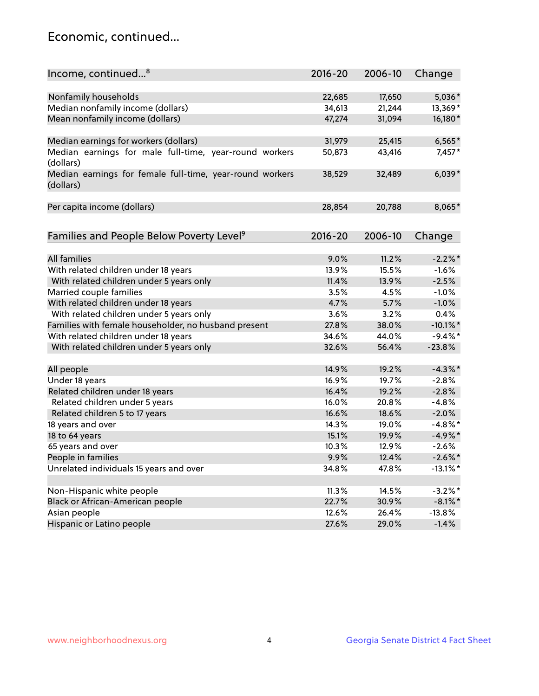## Economic, continued...

| Income, continued <sup>8</sup>                                        | $2016 - 20$ | 2006-10 | Change      |
|-----------------------------------------------------------------------|-------------|---------|-------------|
|                                                                       |             |         |             |
| Nonfamily households                                                  | 22,685      | 17,650  | 5,036*      |
| Median nonfamily income (dollars)                                     | 34,613      | 21,244  | 13,369*     |
| Mean nonfamily income (dollars)                                       | 47,274      | 31,094  | 16,180*     |
| Median earnings for workers (dollars)                                 | 31,979      | 25,415  | $6,565*$    |
| Median earnings for male full-time, year-round workers<br>(dollars)   | 50,873      | 43,416  | 7,457*      |
| Median earnings for female full-time, year-round workers<br>(dollars) | 38,529      | 32,489  | $6,039*$    |
| Per capita income (dollars)                                           | 28,854      | 20,788  | 8,065*      |
| Families and People Below Poverty Level <sup>9</sup>                  | $2016 - 20$ | 2006-10 | Change      |
|                                                                       |             |         |             |
| <b>All families</b>                                                   | 9.0%        | 11.2%   | $-2.2\%$ *  |
| With related children under 18 years                                  | 13.9%       | 15.5%   | $-1.6%$     |
| With related children under 5 years only                              | 11.4%       | 13.9%   | $-2.5%$     |
| Married couple families                                               | 3.5%        | 4.5%    | $-1.0%$     |
| With related children under 18 years                                  | 4.7%        | 5.7%    | $-1.0%$     |
| With related children under 5 years only                              | 3.6%        | 3.2%    | 0.4%        |
| Families with female householder, no husband present                  | 27.8%       | 38.0%   | $-10.1\%$ * |
| With related children under 18 years                                  | 34.6%       | 44.0%   | $-9.4\%$ *  |
| With related children under 5 years only                              | 32.6%       | 56.4%   | $-23.8%$    |
|                                                                       |             |         |             |
| All people                                                            | 14.9%       | 19.2%   | $-4.3\%$ *  |
| Under 18 years                                                        | 16.9%       | 19.7%   | $-2.8%$     |
| Related children under 18 years                                       | 16.4%       | 19.2%   | $-2.8%$     |
| Related children under 5 years                                        | 16.0%       | 20.8%   | $-4.8%$     |
| Related children 5 to 17 years                                        | 16.6%       | 18.6%   | $-2.0%$     |
| 18 years and over                                                     | 14.3%       | 19.0%   | $-4.8\%$ *  |
| 18 to 64 years                                                        | 15.1%       | 19.9%   | $-4.9%$ *   |
| 65 years and over                                                     | 10.3%       | 12.9%   | $-2.6%$     |
| People in families                                                    | 9.9%        | 12.4%   | $-2.6\%$ *  |
| Unrelated individuals 15 years and over                               | 34.8%       | 47.8%   | $-13.1\%$ * |
|                                                                       |             |         |             |
| Non-Hispanic white people                                             | 11.3%       | 14.5%   | $-3.2\%$ *  |
| Black or African-American people                                      | 22.7%       | 30.9%   | $-8.1\%$ *  |
| Asian people                                                          | 12.6%       | 26.4%   | $-13.8%$    |
| Hispanic or Latino people                                             | 27.6%       | 29.0%   | $-1.4%$     |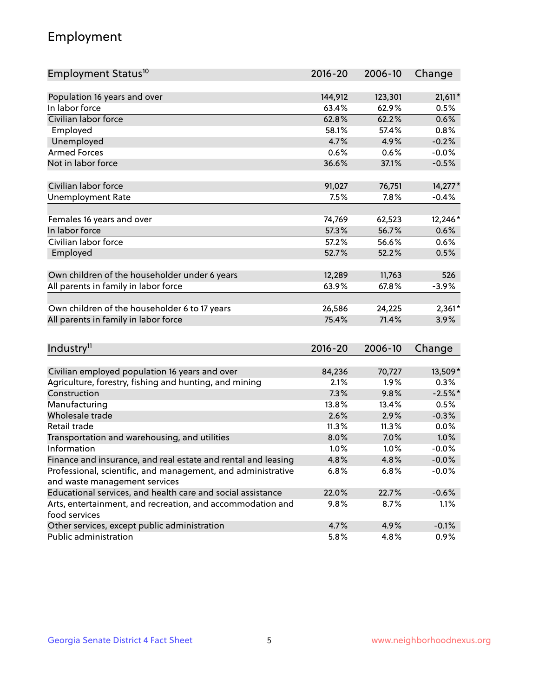## Employment

| Employment Status <sup>10</sup>                                             | $2016 - 20$ | 2006-10 | Change    |
|-----------------------------------------------------------------------------|-------------|---------|-----------|
|                                                                             |             |         |           |
| Population 16 years and over                                                | 144,912     | 123,301 | $21,611*$ |
| In labor force                                                              | 63.4%       | 62.9%   | 0.5%      |
| Civilian labor force                                                        | 62.8%       | 62.2%   | 0.6%      |
| Employed                                                                    | 58.1%       | 57.4%   | 0.8%      |
| Unemployed                                                                  | 4.7%        | 4.9%    | $-0.2%$   |
| <b>Armed Forces</b>                                                         | 0.6%        | 0.6%    | $-0.0%$   |
| Not in labor force                                                          | 36.6%       | 37.1%   | $-0.5%$   |
| Civilian labor force                                                        | 91,027      | 76,751  | 14,277*   |
| <b>Unemployment Rate</b>                                                    | 7.5%        | 7.8%    | $-0.4%$   |
|                                                                             |             |         |           |
| Females 16 years and over                                                   | 74,769      | 62,523  | 12,246*   |
| In labor force                                                              | 57.3%       | 56.7%   | 0.6%      |
| Civilian labor force                                                        | 57.2%       | 56.6%   | 0.6%      |
| Employed                                                                    | 52.7%       | 52.2%   | 0.5%      |
|                                                                             |             |         |           |
| Own children of the householder under 6 years                               | 12,289      | 11,763  | 526       |
| All parents in family in labor force                                        | 63.9%       | 67.8%   | $-3.9%$   |
|                                                                             |             |         |           |
| Own children of the householder 6 to 17 years                               | 26,586      | 24,225  | $2,361*$  |
| All parents in family in labor force                                        | 75.4%       | 71.4%   | 3.9%      |
|                                                                             |             |         |           |
| Industry <sup>11</sup>                                                      | $2016 - 20$ | 2006-10 | Change    |
|                                                                             |             |         |           |
| Civilian employed population 16 years and over                              | 84,236      | 70,727  | 13,509*   |
| Agriculture, forestry, fishing and hunting, and mining                      | 2.1%        | 1.9%    | 0.3%      |
| Construction                                                                | 7.3%        | 9.8%    | $-2.5%$ * |
| Manufacturing                                                               | 13.8%       | 13.4%   | 0.5%      |
| Wholesale trade                                                             | 2.6%        | 2.9%    | $-0.3%$   |
| Retail trade                                                                | 11.3%       | 11.3%   | 0.0%      |
| Transportation and warehousing, and utilities                               | 8.0%        | 7.0%    | 1.0%      |
| Information                                                                 | 1.0%        | 1.0%    | $-0.0%$   |
| Finance and insurance, and real estate and rental and leasing               | 4.8%        | 4.8%    | $-0.0%$   |
| Professional, scientific, and management, and administrative                | 6.8%        | 6.8%    | $-0.0%$   |
| and waste management services                                               |             |         |           |
| Educational services, and health care and social assistance                 | 22.0%       | 22.7%   | $-0.6%$   |
| Arts, entertainment, and recreation, and accommodation and<br>food services | 9.8%        | 8.7%    | 1.1%      |
| Other services, except public administration                                | 4.7%        | 4.9%    | $-0.1%$   |
| Public administration                                                       | 5.8%        | 4.8%    | 0.9%      |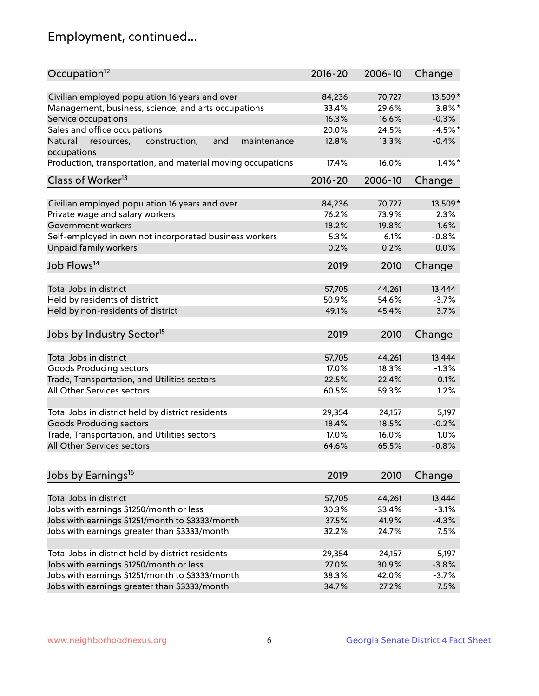## Employment, continued...

| Occupation <sup>12</sup>                                                    | $2016 - 20$ | 2006-10 | Change    |
|-----------------------------------------------------------------------------|-------------|---------|-----------|
| Civilian employed population 16 years and over                              | 84,236      | 70,727  | 13,509*   |
| Management, business, science, and arts occupations                         | 33.4%       | 29.6%   | $3.8\%$ * |
| Service occupations                                                         | 16.3%       | 16.6%   | $-0.3%$   |
| Sales and office occupations                                                | 20.0%       | 24.5%   | $-4.5%$ * |
|                                                                             |             |         |           |
| Natural<br>and<br>resources,<br>construction,<br>maintenance<br>occupations | 12.8%       | 13.3%   | $-0.4%$   |
| Production, transportation, and material moving occupations                 | 17.4%       | 16.0%   | $1.4\%$ * |
| Class of Worker <sup>13</sup>                                               | 2016-20     | 2006-10 | Change    |
|                                                                             |             |         |           |
| Civilian employed population 16 years and over                              | 84,236      | 70,727  | 13,509*   |
| Private wage and salary workers                                             | 76.2%       | 73.9%   | 2.3%      |
| Government workers                                                          | 18.2%       | 19.8%   | $-1.6%$   |
| Self-employed in own not incorporated business workers                      | 5.3%        | 6.1%    | $-0.8%$   |
| Unpaid family workers                                                       | 0.2%        | 0.2%    | 0.0%      |
| Job Flows <sup>14</sup>                                                     | 2019        | 2010    | Change    |
|                                                                             |             |         |           |
| Total Jobs in district                                                      | 57,705      | 44,261  | 13,444    |
| Held by residents of district                                               | 50.9%       | 54.6%   | $-3.7%$   |
| Held by non-residents of district                                           | 49.1%       | 45.4%   | 3.7%      |
| Jobs by Industry Sector <sup>15</sup>                                       | 2019        | 2010    | Change    |
|                                                                             |             |         |           |
| Total Jobs in district                                                      | 57,705      | 44,261  | 13,444    |
| Goods Producing sectors                                                     | 17.0%       | 18.3%   | $-1.3%$   |
| Trade, Transportation, and Utilities sectors                                | 22.5%       | 22.4%   | 0.1%      |
| All Other Services sectors                                                  | 60.5%       | 59.3%   | 1.2%      |
|                                                                             |             |         |           |
| Total Jobs in district held by district residents                           | 29,354      | 24,157  | 5,197     |
| <b>Goods Producing sectors</b>                                              | 18.4%       | 18.5%   | $-0.2%$   |
| Trade, Transportation, and Utilities sectors                                | 17.0%       | 16.0%   | 1.0%      |
| All Other Services sectors                                                  | 64.6%       | 65.5%   | $-0.8%$   |
|                                                                             |             |         |           |
| Jobs by Earnings <sup>16</sup>                                              | 2019        | 2010    | Change    |
|                                                                             |             |         |           |
| Total Jobs in district                                                      | 57,705      | 44,261  | 13,444    |
| Jobs with earnings \$1250/month or less                                     | 30.3%       | 33.4%   | $-3.1%$   |
| Jobs with earnings \$1251/month to \$3333/month                             | 37.5%       | 41.9%   | $-4.3%$   |
| Jobs with earnings greater than \$3333/month                                | 32.2%       | 24.7%   | 7.5%      |
|                                                                             |             |         |           |
| Total Jobs in district held by district residents                           | 29,354      | 24,157  | 5,197     |
| Jobs with earnings \$1250/month or less                                     | 27.0%       | 30.9%   | $-3.8%$   |
| Jobs with earnings \$1251/month to \$3333/month                             | 38.3%       | 42.0%   | $-3.7%$   |
| Jobs with earnings greater than \$3333/month                                | 34.7%       | 27.2%   | 7.5%      |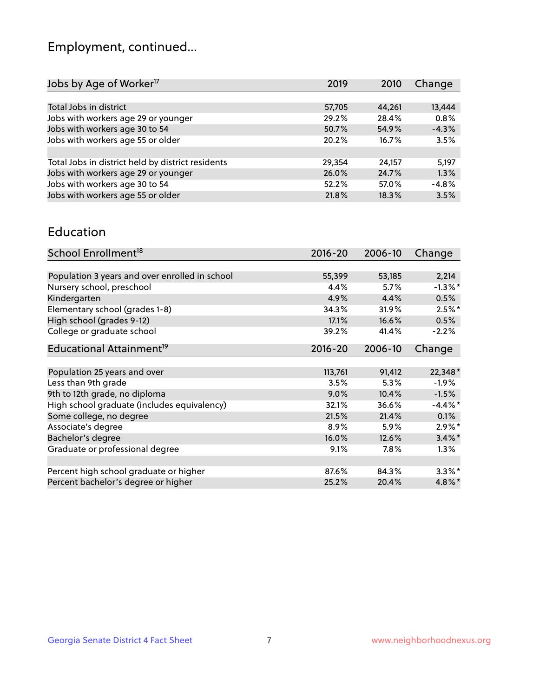## Employment, continued...

| 2019   | 2010   | Change  |
|--------|--------|---------|
|        |        |         |
| 57,705 | 44,261 | 13,444  |
| 29.2%  | 28.4%  | 0.8%    |
| 50.7%  | 54.9%  | $-4.3%$ |
| 20.2%  | 16.7%  | 3.5%    |
|        |        |         |
| 29,354 | 24,157 | 5,197   |
| 26.0%  | 24.7%  | 1.3%    |
| 52.2%  | 57.0%  | $-4.8%$ |
| 21.8%  | 18.3%  | 3.5%    |
|        |        |         |

#### Education

| School Enrollment <sup>18</sup>                | $2016 - 20$ | 2006-10 | Change     |
|------------------------------------------------|-------------|---------|------------|
|                                                |             |         |            |
| Population 3 years and over enrolled in school | 55,399      | 53,185  | 2,214      |
| Nursery school, preschool                      | 4.4%        | 5.7%    | $-1.3\%$ * |
| Kindergarten                                   | 4.9%        | 4.4%    | 0.5%       |
| Elementary school (grades 1-8)                 | 34.3%       | 31.9%   | $2.5%$ *   |
| High school (grades 9-12)                      | 17.1%       | 16.6%   | 0.5%       |
| College or graduate school                     | 39.2%       | 41.4%   | $-2.2%$    |
| Educational Attainment <sup>19</sup>           | $2016 - 20$ | 2006-10 | Change     |
|                                                |             |         |            |
| Population 25 years and over                   | 113,761     | 91,412  | 22,348*    |
| Less than 9th grade                            | 3.5%        | 5.3%    | $-1.9%$    |
| 9th to 12th grade, no diploma                  | 9.0%        | 10.4%   | $-1.5%$    |
| High school graduate (includes equivalency)    | 32.1%       | 36.6%   | $-4.4\%$ * |
| Some college, no degree                        | 21.5%       | 21.4%   | 0.1%       |
| Associate's degree                             | 8.9%        | 5.9%    | $2.9\%$ *  |
| Bachelor's degree                              | 16.0%       | 12.6%   | $3.4\%$ *  |
| Graduate or professional degree                | $9.1\%$     | $7.8\%$ | $1.3\%$    |
|                                                |             |         |            |
| Percent high school graduate or higher         | 87.6%       | 84.3%   | $3.3\%$ *  |
| Percent bachelor's degree or higher            | 25.2%       | 20.4%   | $4.8\%$ *  |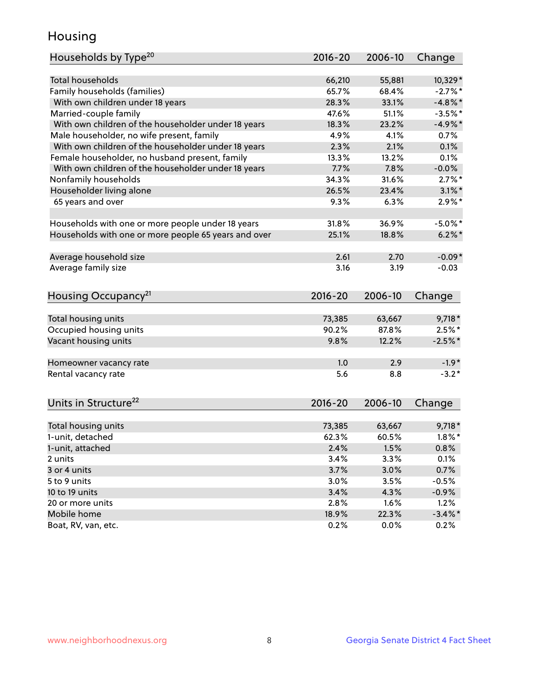## Housing

| Households by Type <sup>20</sup>                     | 2016-20      | 2006-10      | Change          |
|------------------------------------------------------|--------------|--------------|-----------------|
|                                                      |              |              |                 |
| <b>Total households</b>                              | 66,210       | 55,881       | 10,329*         |
| Family households (families)                         | 65.7%        | 68.4%        | $-2.7%$ *       |
| With own children under 18 years                     | 28.3%        | 33.1%        | $-4.8\%$ *      |
| Married-couple family                                | 47.6%        | 51.1%        | $-3.5%$ *       |
| With own children of the householder under 18 years  | 18.3%        | 23.2%        | $-4.9%$ *       |
| Male householder, no wife present, family            | 4.9%         | 4.1%         | 0.7%            |
| With own children of the householder under 18 years  | 2.3%         | 2.1%         | 0.1%            |
| Female householder, no husband present, family       | 13.3%        | 13.2%        | 0.1%            |
| With own children of the householder under 18 years  | 7.7%         | 7.8%         | $-0.0%$         |
| Nonfamily households                                 | 34.3%        | 31.6%        | $2.7\%$ *       |
| Householder living alone                             | 26.5%        | 23.4%        | $3.1\%$ *       |
| 65 years and over                                    | 9.3%         | 6.3%         | $2.9\%*$        |
|                                                      |              |              |                 |
| Households with one or more people under 18 years    | 31.8%        | 36.9%        | $-5.0\%$ *      |
| Households with one or more people 65 years and over | 25.1%        | 18.8%        | $6.2\%$ *       |
| Average household size                               | 2.61         | 2.70         | $-0.09*$        |
| Average family size                                  | 3.16         | 3.19         | $-0.03$         |
|                                                      |              |              |                 |
| Housing Occupancy <sup>21</sup>                      | $2016 - 20$  | 2006-10      | Change          |
|                                                      |              |              |                 |
| Total housing units                                  | 73,385       | 63,667       | $9,718*$        |
| Occupied housing units                               | 90.2%        | 87.8%        | $2.5\%$ *       |
| Vacant housing units                                 | 9.8%         | 12.2%        | $-2.5%$ *       |
| Homeowner vacancy rate                               | 1.0          | 2.9          | $-1.9*$         |
| Rental vacancy rate                                  | 5.6          | 8.8          | $-3.2*$         |
|                                                      |              |              |                 |
| Units in Structure <sup>22</sup>                     | $2016 - 20$  | 2006-10      | Change          |
| Total housing units                                  | 73,385       | 63,667       | $9,718*$        |
| 1-unit, detached                                     | 62.3%        | 60.5%        | $1.8\%$ *       |
| 1-unit, attached                                     | 2.4%         | $1.5\%$      | 0.8%            |
| 2 units                                              | 3.4%         | 3.3%         | 0.1%            |
| 3 or 4 units                                         | 3.7%         | 3.0%         | 0.7%            |
| 5 to 9 units                                         | 3.0%         | 3.5%         | $-0.5%$         |
| 10 to 19 units                                       |              |              |                 |
| 20 or more units                                     | 3.4%<br>2.8% | 4.3%<br>1.6% | $-0.9%$<br>1.2% |
| Mobile home                                          | 18.9%        | 22.3%        | $-3.4\%$ *      |
| Boat, RV, van, etc.                                  | 0.2%         | 0.0%         | 0.2%            |
|                                                      |              |              |                 |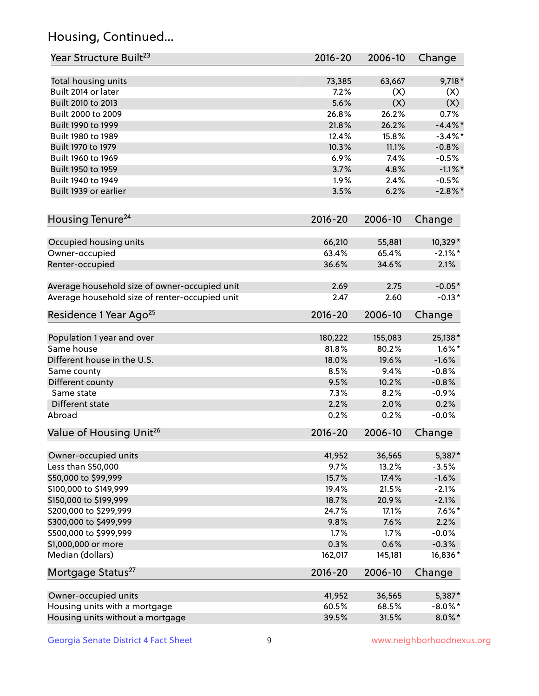## Housing, Continued...

| Year Structure Built <sup>23</sup>               | 2016-20        | 2006-10        | Change               |
|--------------------------------------------------|----------------|----------------|----------------------|
| Total housing units                              | 73,385         | 63,667         | $9,718*$             |
| Built 2014 or later                              | 7.2%           | (X)            | (X)                  |
| Built 2010 to 2013                               | 5.6%           | (X)            | (X)                  |
| Built 2000 to 2009                               | 26.8%          | 26.2%          | 0.7%                 |
| Built 1990 to 1999                               | 21.8%          | 26.2%          | $-4.4\%$ *           |
| Built 1980 to 1989                               | 12.4%          | 15.8%          | $-3.4\%$ *           |
| Built 1970 to 1979                               | 10.3%          | 11.1%          | $-0.8%$              |
| Built 1960 to 1969                               | 6.9%           | 7.4%           | $-0.5%$              |
| Built 1950 to 1959                               | 3.7%           | 4.8%           | $-1.1\%$ *           |
| Built 1940 to 1949                               | 1.9%           | 2.4%           | $-0.5%$              |
| Built 1939 or earlier                            | 3.5%           | 6.2%           | $-2.8\%$ *           |
|                                                  |                |                |                      |
| Housing Tenure <sup>24</sup>                     | $2016 - 20$    | 2006-10        | Change               |
| Occupied housing units                           | 66,210         | 55,881         | 10,329*              |
| Owner-occupied                                   | 63.4%          | 65.4%          | $-2.1\%$ *           |
| Renter-occupied                                  | 36.6%          | 34.6%          | 2.1%                 |
| Average household size of owner-occupied unit    | 2.69           | 2.75           | $-0.05*$             |
| Average household size of renter-occupied unit   | 2.47           | 2.60           | $-0.13*$             |
| Residence 1 Year Ago <sup>25</sup>               | $2016 - 20$    | 2006-10        | Change               |
| Population 1 year and over                       | 180,222        | 155,083        | 25,138*              |
| Same house                                       | 81.8%          | 80.2%          | $1.6\%$ *            |
| Different house in the U.S.                      | 18.0%          | 19.6%          | $-1.6%$              |
| Same county                                      | 8.5%           | 9.4%           | $-0.8%$              |
| Different county                                 | 9.5%           | 10.2%          | $-0.8%$              |
| Same state                                       | 7.3%           | 8.2%           | $-0.9%$              |
| Different state                                  | 2.2%           | 2.0%           | 0.2%                 |
| Abroad                                           | 0.2%           | 0.2%           | $-0.0%$              |
| Value of Housing Unit <sup>26</sup>              | $2016 - 20$    | 2006-10        | Change               |
|                                                  |                |                |                      |
| Owner-occupied units                             | 41,952         | 36,565         | 5,387*               |
| Less than \$50,000                               | 9.7%           | 13.2%          | $-3.5%$              |
| \$50,000 to \$99,999                             | 15.7%          | 17.4%<br>21.5% | $-1.6%$              |
| \$100,000 to \$149,999                           | 19.4%<br>18.7% |                | $-2.1%$              |
| \$150,000 to \$199,999<br>\$200,000 to \$299,999 | 24.7%          | 20.9%<br>17.1% | $-2.1%$<br>$7.6\%$ * |
| \$300,000 to \$499,999                           | 9.8%           | 7.6%           | 2.2%                 |
| \$500,000 to \$999,999                           | 1.7%           | 1.7%           | $-0.0%$              |
| \$1,000,000 or more                              | 0.3%           | 0.6%           | $-0.3%$              |
| Median (dollars)                                 | 162,017        | 145,181        | 16,836*              |
| Mortgage Status <sup>27</sup>                    | $2016 - 20$    | 2006-10        | Change               |
|                                                  |                |                |                      |
| Owner-occupied units                             | 41,952         | 36,565         | 5,387*               |
| Housing units with a mortgage                    | 60.5%          | 68.5%          | $-8.0\%$ *           |
| Housing units without a mortgage                 | 39.5%          | 31.5%          | $8.0\%$ *            |

Georgia Senate District 4 Fact Sheet 9 9 Www.neighborhoodnexus.org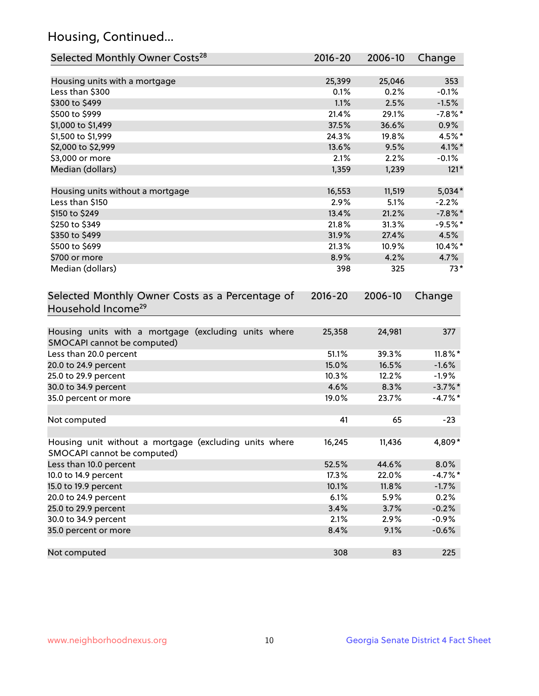## Housing, Continued...

| Selected Monthly Owner Costs <sup>28</sup>                                            | 2016-20     | 2006-10 | Change     |
|---------------------------------------------------------------------------------------|-------------|---------|------------|
| Housing units with a mortgage                                                         | 25,399      | 25,046  | 353        |
| Less than \$300                                                                       | 0.1%        | 0.2%    | $-0.1%$    |
| \$300 to \$499                                                                        | 1.1%        | 2.5%    | $-1.5%$    |
| \$500 to \$999                                                                        | 21.4%       | 29.1%   | $-7.8\%$ * |
| \$1,000 to \$1,499                                                                    | 37.5%       | 36.6%   | 0.9%       |
| \$1,500 to \$1,999                                                                    | 24.3%       | 19.8%   | 4.5%*      |
| \$2,000 to \$2,999                                                                    | 13.6%       | 9.5%    | $4.1\%$ *  |
| \$3,000 or more                                                                       | 2.1%        | 2.2%    | $-0.1%$    |
| Median (dollars)                                                                      | 1,359       | 1,239   | $121*$     |
| Housing units without a mortgage                                                      | 16,553      | 11,519  | $5,034*$   |
| Less than \$150                                                                       | 2.9%        | 5.1%    | $-2.2%$    |
| \$150 to \$249                                                                        | 13.4%       | 21.2%   | $-7.8\%$ * |
| \$250 to \$349                                                                        | 21.8%       | 31.3%   | $-9.5%$ *  |
| \$350 to \$499                                                                        | 31.9%       | 27.4%   | 4.5%       |
| \$500 to \$699                                                                        | 21.3%       | 10.9%   | 10.4%*     |
| \$700 or more                                                                         | 8.9%        | 4.2%    | 4.7%       |
| Median (dollars)                                                                      | 398         | 325     | $73*$      |
| Selected Monthly Owner Costs as a Percentage of<br>Household Income <sup>29</sup>     | $2016 - 20$ | 2006-10 | Change     |
| Housing units with a mortgage (excluding units where<br>SMOCAPI cannot be computed)   | 25,358      | 24,981  | 377        |
| Less than 20.0 percent                                                                | 51.1%       | 39.3%   | $11.8\%$ * |
| 20.0 to 24.9 percent                                                                  | 15.0%       | 16.5%   | $-1.6%$    |
| 25.0 to 29.9 percent                                                                  | 10.3%       | 12.2%   | $-1.9%$    |
| 30.0 to 34.9 percent                                                                  | 4.6%        | 8.3%    | $-3.7\%$ * |
| 35.0 percent or more                                                                  | 19.0%       | 23.7%   | $-4.7%$ *  |
| Not computed                                                                          | 41          | 65      | $-23$      |
| Housing unit without a mortgage (excluding units where<br>SMOCAPI cannot be computed) | 16,245      | 11,436  | 4,809*     |
| Less than 10.0 percent                                                                | 52.5%       | 44.6%   | 8.0%       |
| 10.0 to 14.9 percent                                                                  | 17.3%       | 22.0%   | $-4.7%$ *  |
| 15.0 to 19.9 percent                                                                  | 10.1%       | 11.8%   | $-1.7%$    |
| 20.0 to 24.9 percent                                                                  | 6.1%        | 5.9%    | 0.2%       |
| 25.0 to 29.9 percent                                                                  | 3.4%        | 3.7%    | $-0.2%$    |
| 30.0 to 34.9 percent                                                                  | 2.1%        | 2.9%    | $-0.9%$    |
| 35.0 percent or more                                                                  | 8.4%        | 9.1%    | $-0.6%$    |
| Not computed                                                                          | 308         | 83      | 225        |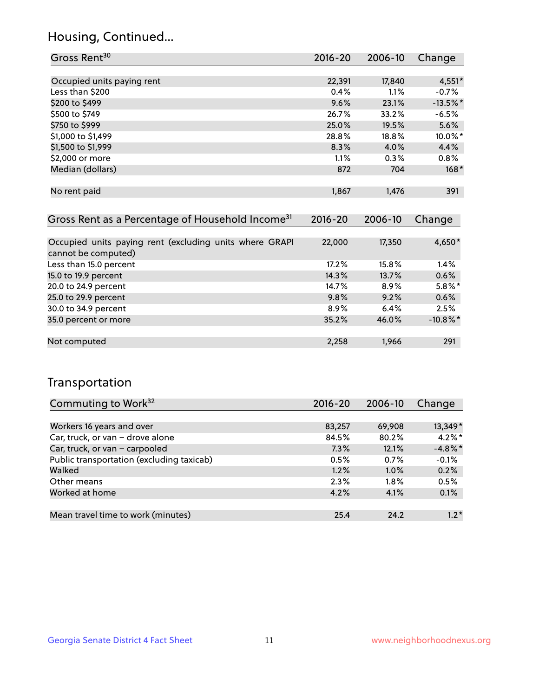### Housing, Continued...

| Gross Rent <sup>30</sup>                                     | 2016-20     | 2006-10 | Change     |
|--------------------------------------------------------------|-------------|---------|------------|
|                                                              |             |         |            |
| Occupied units paying rent                                   | 22,391      | 17,840  | $4,551*$   |
| Less than \$200                                              | 0.4%        | $1.1\%$ | $-0.7%$    |
| \$200 to \$499                                               | 9.6%        | 23.1%   | $-13.5%$ * |
| \$500 to \$749                                               | 26.7%       | 33.2%   | $-6.5%$    |
| \$750 to \$999                                               | 25.0%       | 19.5%   | 5.6%       |
| \$1,000 to \$1,499                                           | 28.8%       | 18.8%   | $10.0\%$ * |
| \$1,500 to \$1,999                                           | 8.3%        | 4.0%    | 4.4%       |
| \$2,000 or more                                              | $1.1\%$     | 0.3%    | 0.8%       |
| Median (dollars)                                             | 872         | 704     | $168*$     |
|                                                              |             |         |            |
| No rent paid                                                 | 1,867       | 1,476   | 391        |
|                                                              |             |         |            |
| Gross Rent as a Percentage of Household Income <sup>31</sup> | $2016 - 20$ | 2006-10 | Change     |

| Occupied units paying rent (excluding units where GRAPI<br>cannot be computed) | 22,000 | 17,350  | 4,650*      |
|--------------------------------------------------------------------------------|--------|---------|-------------|
| Less than 15.0 percent                                                         | 17.2%  | 15.8%   | 1.4%        |
| 15.0 to 19.9 percent                                                           | 14.3%  | 13.7%   | 0.6%        |
| 20.0 to 24.9 percent                                                           | 14.7%  | $8.9\%$ | $5.8\%$ *   |
| 25.0 to 29.9 percent                                                           | 9.8%   | 9.2%    | 0.6%        |
| 30.0 to 34.9 percent                                                           | 8.9%   | 6.4%    | 2.5%        |
| 35.0 percent or more                                                           | 35.2%  | 46.0%   | $-10.8\%$ * |
|                                                                                |        |         |             |
| Not computed                                                                   | 2,258  | 1,966   | 291         |

### Transportation

| Commuting to Work <sup>32</sup>           | 2016-20 | 2006-10 | Change     |
|-------------------------------------------|---------|---------|------------|
|                                           |         |         |            |
| Workers 16 years and over                 | 83,257  | 69,908  | 13,349*    |
| Car, truck, or van - drove alone          | 84.5%   | 80.2%   | $4.2\%$ *  |
| Car, truck, or van - carpooled            | 7.3%    | 12.1%   | $-4.8\%$ * |
| Public transportation (excluding taxicab) | 0.5%    | 0.7%    | $-0.1%$    |
| Walked                                    | 1.2%    | 1.0%    | 0.2%       |
| Other means                               | 2.3%    | $1.8\%$ | 0.5%       |
| Worked at home                            | 4.2%    | 4.1%    | 0.1%       |
|                                           |         |         |            |
| Mean travel time to work (minutes)        | 25.4    | 24.2    | $1.2*$     |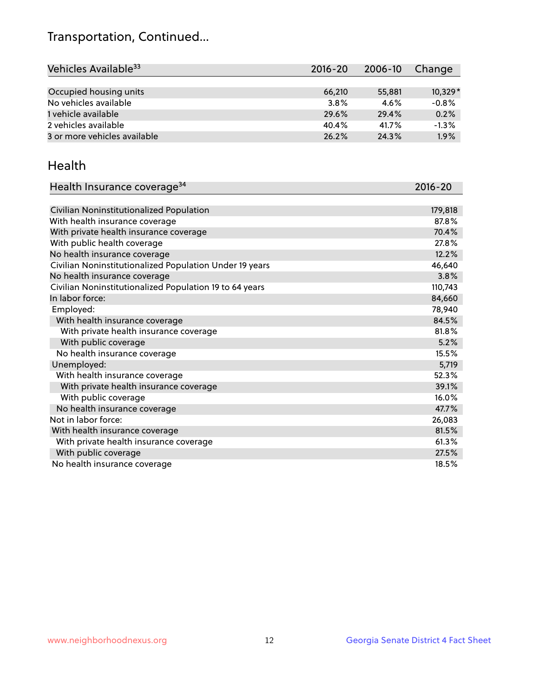## Transportation, Continued...

| Vehicles Available <sup>33</sup> | $2016 - 20$ | 2006-10 | Change    |
|----------------------------------|-------------|---------|-----------|
|                                  |             |         |           |
| Occupied housing units           | 66.210      | 55,881  | $10,329*$ |
| No vehicles available            | 3.8%        | 4.6%    | $-0.8%$   |
| 1 vehicle available              | 29.6%       | 29.4%   | 0.2%      |
| 2 vehicles available             | 40.4%       | 41.7%   | $-1.3%$   |
| 3 or more vehicles available     | 26.2%       | 24.3%   | 1.9%      |

#### Health

| Health Insurance coverage <sup>34</sup>                 | 2016-20 |
|---------------------------------------------------------|---------|
|                                                         |         |
| Civilian Noninstitutionalized Population                | 179,818 |
| With health insurance coverage                          | 87.8%   |
| With private health insurance coverage                  | 70.4%   |
| With public health coverage                             | 27.8%   |
| No health insurance coverage                            | 12.2%   |
| Civilian Noninstitutionalized Population Under 19 years | 46,640  |
| No health insurance coverage                            | 3.8%    |
| Civilian Noninstitutionalized Population 19 to 64 years | 110,743 |
| In labor force:                                         | 84,660  |
| Employed:                                               | 78,940  |
| With health insurance coverage                          | 84.5%   |
| With private health insurance coverage                  | 81.8%   |
| With public coverage                                    | 5.2%    |
| No health insurance coverage                            | 15.5%   |
| Unemployed:                                             | 5,719   |
| With health insurance coverage                          | 52.3%   |
| With private health insurance coverage                  | 39.1%   |
| With public coverage                                    | 16.0%   |
| No health insurance coverage                            | 47.7%   |
| Not in labor force:                                     | 26,083  |
| With health insurance coverage                          | 81.5%   |
| With private health insurance coverage                  | 61.3%   |
| With public coverage                                    | 27.5%   |
| No health insurance coverage                            | 18.5%   |